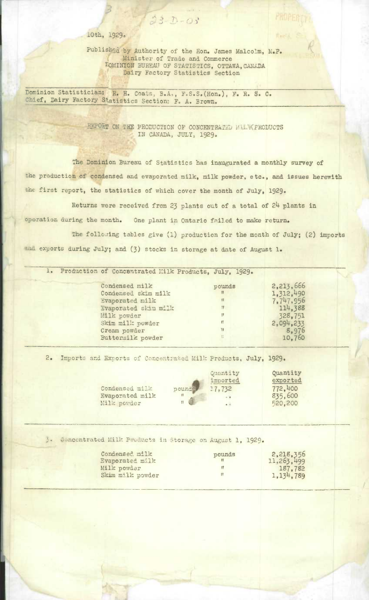10th, 1929.

Published by Authority of the Hon. James Malcolm, M.P. Minister of Trade and Commerce L'OMINION BUREAU OF STATISTICS, OTTAWA, CANADA Dairy Factory Statistics Section

 $33 - 0 - 03$ 

PROPER

Recia.

Dominion Statistician: R. H. Coats, B.A., F.S.S.(Hon.), F. R. S. C. Chief, Dairy Factory Statistics Section: F. A. Brown.

> **ON TIM PRODUCTION OF** *CONCNTRki?SD ii.* PRODUCTS IN CANADA, JULY, 1929.

The Dominion Bureau of **Statistics** has inaugurated a **montbly** survey of the production of condensed and evaporated milk, milk powder, etc., *and issues* **herewith**  the first report, the statistics of which cover the month of July, 1929.

Returns were received from 23 plants out of a total of  $24$  plants in operation during the month. One plant *in* Ontario failed to make return. The following tables give (1) production for the month of July; (2) imports and exports during July; and (3) stocks in storage at date of August 1.

|  | 1. Production of Concentrated Milk Products, July, 1929. |              |           |
|--|----------------------------------------------------------|--------------|-----------|
|  | Condensed milk                                           | pounds       | 2,213,666 |
|  | Condensed skim milk                                      | 18           | 1,312,490 |
|  | Evaporated milk                                          | 11           | 7,747,956 |
|  | Evaporated skim milk                                     | <b>TT</b>    | 114,388   |
|  | Milk powder                                              | 11           | 328,751   |
|  | Skim milk powder                                         | $\mathbf{H}$ | 2,094,233 |
|  | Cream powder                                             | w            | 8,976     |
|  | Buttermilk powder                                        | Ħ.           | 10.760    |
|  |                                                          |              |           |

2. Imports and Exports of Concentrated Milk Products, July, 1929.

|                 |                 | Quantity | Quantity |
|-----------------|-----------------|----------|----------|
|                 |                 | imported | exported |
| Condensed mill- | pounds          | 17,732   | 772,400  |
| Evaporated milk |                 | 0.01     | 835,600  |
| Milk powder     | $\overline{11}$ | $-2$     | 520,200  |
|                 |                 |          |          |

3. Concentrated Milk Preducts in Storage on August 1, 1929.

| Condensed milk<br>Evaporated milk | pounds | 2,218,356<br>11,263,499 |
|-----------------------------------|--------|-------------------------|
| Milk powder                       | u      | 187,782                 |
| Skim milk powder                  |        | 1, 134, 789             |